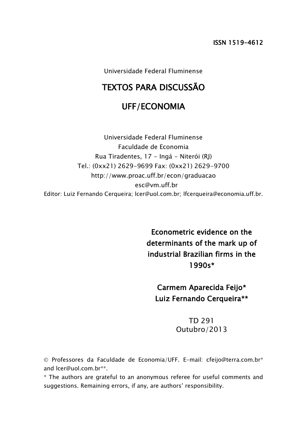Universidade Federal Fluminense

# TEXTOS PARA DISCUSSÃO

# UFF/ECONOMIA

Universidade Federal Fluminense Faculdade de Economia Rua Tiradentes, 17 - Ingá - Niterói (RJ) Tel.: (0xx21) 2629-9699 Fax: (0xx21) 2629-9700 http://www.proac.uff.br/econ/graduacao esc@vm.uff.br Editor: Luiz Fernando Cerqueira; lcer@uol.com.br; lfcerqueira@economia.uff.br.

> Econometric evidence on the determinants of the mark up of industrial Brazilian firms in the 1990s\*

Carmem Aparecida Feijo\* Luiz Fernando Cerqueira\*\*

## TD 291 Outubro/2013

 Professores da Faculdade de Economia/UFF. E-mail: cfeijo@terra.com.br\* and lcer@uol.com.br\*\*.

\* The authors are grateful to an anonymous referee for useful comments and suggestions. Remaining errors, if any, are authors' responsibility.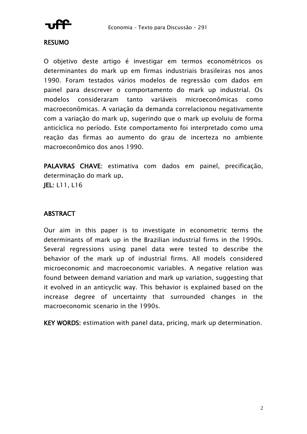

#### RESUMO

O objetivo deste artigo é investigar em termos econométricos os determinantes do mark up em firmas industriais brasileiras nos anos 1990. Foram testados vários modelos de regressão com dados em painel para descrever o comportamento do mark up industrial. Os modelos consideraram tanto variáveis microeconômicas como macroeconômicas. A variação da demanda correlacionou negativamente com a variação do mark up, sugerindo que o mark up evoluiu de forma anticíclica no período. Este comportamento foi interpretado como uma reação das firmas ao aumento do grau de incerteza no ambiente macroeconômico dos anos 1990.

PALAVRAS CHAVE: estimativa com dados em painel, precificação, determinação do mark up. JEL: L11, L16

### **ABSTRACT**

Our aim in this paper is to investigate in econometric terms the determinants of mark up in the Brazilian industrial firms in the 1990s. Several regressions using panel data were tested to describe the behavior of the mark up of industrial firms. All models considered microeconomic and macroeconomic variables. A negative relation was found between demand variation and mark up variation, suggesting that it evolved in an anticyclic way. This behavior is explained based on the increase degree of uncertainty that surrounded changes in the macroeconomic scenario in the 1990s.

KEY WORDS: estimation with panel data, pricing, mark up determination.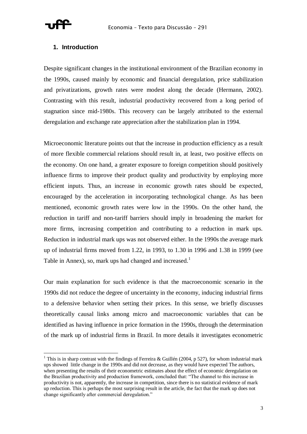#### **1. Introduction**

Despite significant changes in the institutional environment of the Brazilian economy in the 1990s, caused mainly by economic and financial deregulation, price stabilization and privatizations, growth rates were modest along the decade (Hermann, 2002). Contrasting with this result, industrial productivity recovered from a long period of stagnation since mid-1980s. This recovery can be largely attributed to the external deregulation and exchange rate appreciation after the stabilization plan in 1994.

Microeconomic literature points out that the increase in production efficiency as a result of more flexible commercial relations should result in, at least, two positive effects on the economy. On one hand, a greater exposure to foreign competition should positively influence firms to improve their product quality and productivity by employing more efficient inputs. Thus, an increase in economic growth rates should be expected, encouraged by the acceleration in incorporating technological change. As has been mentioned, economic growth rates were low in the 1990s. On the other hand, the reduction in tariff and non-tariff barriers should imply in broadening the market for more firms, increasing competition and contributing to a reduction in mark ups. Reduction in industrial mark ups was not observed either. In the 1990s the average mark up of industrial firms moved from 1.22, in 1993, to 1.30 in 1996 and 1.38 in 1999 (see Table in Annex), so, mark ups had changed and increased.<sup>1</sup>

Our main explanation for such evidence is that the macroeconomic scenario in the 1990s did not reduce the degree of uncertainty in the economy, inducing industrial firms to a defensive behavior when setting their prices. In this sense, we briefly discusses theoretically causal links among micro and macroeconomic variables that can be identified as having influence in price formation in the 1990s, through the determination of the mark up of industrial firms in Brazil. In more details it investigates econometric

<sup>&</sup>lt;sup>1</sup> This is in sharp contrast with the findings of Ferreira & Guillén (2004, p 527), for whom industrial mark ups showed little change in the 1990s and did not decrease, as they would have expected The authors, when presenting the results of their econometric estimates about the effect of economic deregulation on the Brazilian productivity and production framework, concluded that: "The channel to this increase in productivity is not, apparently, the increase in competition, since there is no statistical evidence of mark up reduction. This is perhaps the most surprising result in the article, the fact that the mark up does not change significantly after commercial deregulation."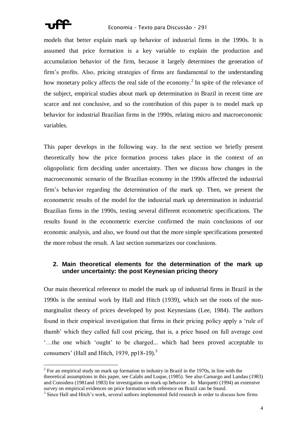

models that better explain mark up behavior of industrial firms in the 1990s. It is assumed that price formation is a key variable to explain the production and accumulation behavior of the firm, because it largely determines the generation of firm's profits. Also, pricing strategies of firms are fundamental to the understanding how monetary policy affects the real side of the economy.<sup>2</sup> In spite of the relevance of the subject, empirical studies about mark up determination in Brazil in recent time are scarce and not conclusive, and so the contribution of this paper is to model mark up behavior for industrial Brazilian firms in the 1990s, relating micro and macroeconomic variables.

This paper develops in the following way. In the next section we briefly present theoretically how the price formation process takes place in the context of an oligopolistic firm deciding under uncertainty. Then we discuss how changes in the macroeconomic scenario of the Brazilian economy in the 1990s affected the industrial firm's behavior regarding the determination of the mark up. Then, we present the econometric results of the model for the industrial mark up determination in industrial Brazilian firms in the 1990s, testing several different econometric specifications. The results found in the econometric exercise confirmed the main conclusions of our economic analysis, and also, we found out that the more simple specifications presented the more robust the result. A last section summarizes our conclusions.

#### **2. Main theoretical elements for the determination of the mark up under uncertainty: the post Keynesian pricing theory**

Our main theoretical reference to model the mark up of industrial firms in Brazil in the 1990s is the seminal work by Hall and Hitch (1939), which set the roots of the nonmarginalist theory of prices developed by post Keynesians (Lee, 1984). The authors found in their empirical investigation that firms in their pricing policy apply a 'rule of thumb' which they called full cost pricing, that is, a price based on full average cost '…the one which 'ought' to be charged... which had been proved acceptable to consumers' (Hall and Hitch, 1939, pp18-19). $3$ 

 $2^{2}$  For an empirical study on mark up formation in industry in Brazil in the 1970s, in line with the theoretical assumptions in this paper, see Calabi and Luque, (1985). See also Camargo and Landau (1983) and Considera (1981and 1983) for investigation on mark up behavior . In Marquetti (1994) an extensive survey on empirical evidences on price formation with reference on Brazil can be found.

<sup>&</sup>lt;sup>3</sup> Since Hall and Hitch's work, several authors implemented field research in order to discuss how firms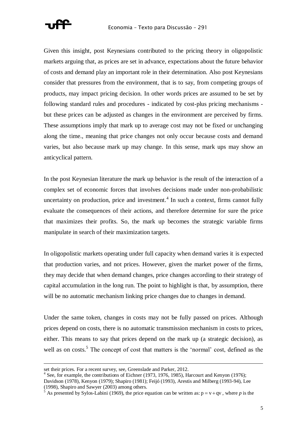

Given this insight, post Keynesians contributed to the pricing theory in oligopolistic markets arguing that, as prices are set in advance, expectations about the future behavior of costs and demand play an important role in their determination. Also post Keynesians consider that pressures from the environment, that is to say, from competing groups of products, may impact pricing decision. In other words prices are assumed to be set by following standard rules and procedures - indicated by cost-plus pricing mechanisms but these prices can be adjusted as changes in the environment are perceived by firms. These assumptions imply that mark up to average cost may not be fixed or unchanging along the time., meaning that price changes not only occur because costs and demand varies, but also because mark up may change. In this sense, mark ups may show an anticyclical pattern.

In the post Keynesian literature the mark up behavior is the result of the interaction of a complex set of economic forces that involves decisions made under non-probabilistic uncertainty on production, price and investment. $4$  In such a context, firms cannot fully evaluate the consequences of their actions, and therefore determine for sure the price that maximizes their profits. So, the mark up becomes the strategic variable firms manipulate in search of their maximization targets.

In oligopolistic markets operating under full capacity when demand varies it is expected that production varies, and not prices. However, given the market power of the firms, they may decide that when demand changes, price changes according to their strategy of capital accumulation in the long run. The point to highlight is that, by assumption, there will be no automatic mechanism linking price changes due to changes in demand.

Under the same token, changes in costs may not be fully passed on prices. Although prices depend on costs, there is no automatic transmission mechanism in costs to prices, either. This means to say that prices depend on the mark up (a strategic decision), as well as on costs.<sup>5</sup> The concept of cost that matters is the 'normal' cost, defined as the

 $\overline{a}$ 

set their prices. For a recent survey, see, Greenslade and Parker, 2012.

<sup>&</sup>lt;sup>4</sup> See, for example, the contributions of Eichner (1973, 1976, 1985), Harcourt and Kenyon (1976); Davidson (1978), Kenyon (1979); Shapiro (1981); Feijó (1993), Arestis and Milberg (1993-94), Lee (1998), Shapiro and Sawyer (2003) among others.

<sup>&</sup>lt;sup>5</sup> As presented by Sylos-Labini (1969), the price equation can be written as:  $p = v + qv$ , where *p* is the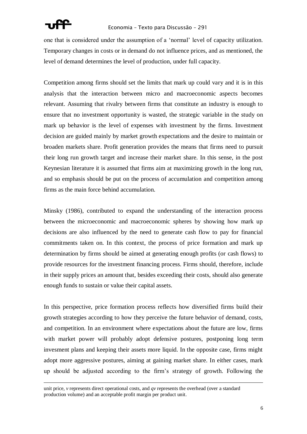

one that is considered under the assumption of a 'normal' level of capacity utilization. Temporary changes in costs or in demand do not influence prices, and as mentioned, the level of demand determines the level of production, under full capacity.

Competition among firms should set the limits that mark up could vary and it is in this analysis that the interaction between micro and macroeconomic aspects becomes relevant. Assuming that rivalry between firms that constitute an industry is enough to ensure that no investment opportunity is wasted, the strategic variable in the study on mark up behavior is the level of expenses with investment by the firms. Investment decision are guided mainly by market growth expectations and the desire to maintain or broaden markets share. Profit generation provides the means that firms need to pursuit their long run growth target and increase their market share. In this sense, in the post Keynesian literature it is assumed that firms aim at maximizing growth in the long run, and so emphasis should be put on the process of accumulation and competition among firms as the main force behind accumulation.

Minsky (1986), contributed to expand the understanding of the interaction process between the microeconomic and macroeconomic spheres by showing how mark up decisions are also influenced by the need to generate cash flow to pay for financial commitments taken on. In this context, the process of price formation and mark up determination by firms should be aimed at generating enough profits (or cash flows) to provide resources for the investment financing process. Firms should, therefore, include in their supply prices an amount that, besides exceeding their costs, should also generate enough funds to sustain or value their capital assets.

In this perspective, price formation process reflects how diversified firms build their growth strategies according to how they perceive the future behavior of demand, costs, and competition. In an environment where expectations about the future are low, firms with market power will probably adopt defensive postures, postponing long term invesment plans and keeping their assets more liquid. In the opposite case, firms might adopt more aggressive postures, aiming at gaining market share. In either cases, mark up should be adjusted according to the firm's strategy of growth. Following the

unit price, *v* represents direct operational costs, and *qv* represents the overhead (over a standard production volume) and an acceptable profit margin per product unit.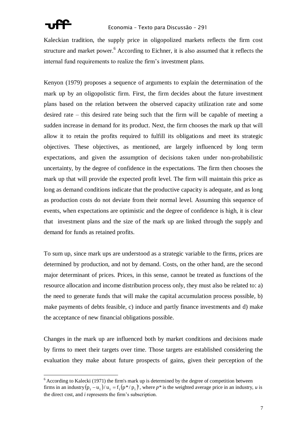

Kaleckian tradition, the supply price in oligopolized markets reflects the firm cost structure and market power.<sup>6</sup> According to Eichner, it is also assumed that it reflects the internal fund requirements to realize the firm's investment plans.

Kenyon (1979) proposes a sequence of arguments to explain the determination of the mark up by an oligopolistic firm. First, the firm decides about the future investment plans based on the relation between the observed capacity utilization rate and some desired rate – this desired rate being such that the firm will be capable of meeting a sudden increase in demand for its product. Next, the firm chooses the mark up that will allow it to retain the profits required to fulfill its obligations and meet its strategic objectives. These objectives, as mentioned, are largely influenced by long term expectations, and given the assumption of decisions taken under non-probabilistic uncertainty, by the degree of confidence in the expectations. The firm then chooses the mark up that will provide the expected profit level. The firm will maintain this price as long as demand conditions indicate that the productive capacity is adequate, and as long as production costs do not deviate from their normal level. Assuming this sequence of events, when expectations are optimistic and the degree of confidence is high, it is clear that investment plans and the size of the mark up are linked through the supply and demand for funds as retained profits.

To sum up, since mark ups are understood as a strategic variable to the firms, prices are determined by production, and not by demand. Costs, on the other hand, are the second major determinant of prices. Prices, in this sense, cannot be treated as functions of the resource allocation and income distribution process only, they must also be related to: a) the need to generate funds that will make the capital accumulation process possible, b) make payments of debts feasible, c) induce and partly finance investments and d) make the acceptance of new financial obligations possible.

Changes in the mark up are influenced both by market conditions and decisions made by firms to meet their targets over time. Those targets are established considering the evaluation they make about future prospects of gains, given their perception of the

 $6$  According to Kalecki (1971) the firm's mark up is determined by the degree of competition between firms in an industry  $(p_i - u_i)/u_i = f_i(p^*/p_i)$ , where  $p^*$  is the weighted average price in an industry, *u* is the direct cost, and *i* represents the firm's subscription.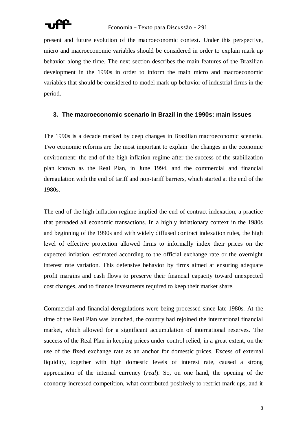present and future evolution of the macroeconomic context. Under this perspective, micro and macroeconomic variables should be considered in order to explain mark up behavior along the time. The next section describes the main features of the Brazilian development in the 1990s in order to inform the main micro and macroeconomic variables that should be considered to model mark up behavior of industrial firms in the period.

#### **3. The macroeconomic scenario in Brazil in the 1990s: main issues**

The 1990s is a decade marked by deep changes in Brazilian macroeconomic scenario. Two economic reforms are the most important to explain the changes in the economic environment: the end of the high inflation regime after the success of the stabilization plan known as the Real Plan, in June 1994, and the commercial and financial deregulation with the end of tariff and non-tariff barriers, which started at the end of the 1980s.

The end of the high inflation regime implied the end of contract indexation, a practice that pervaded all economic transactions. In a highly inflationary context in the 1980s and beginning of the 1990s and with widely diffused contract indexation rules, the high level of effective protection allowed firms to informally index their prices on the expected inflation, estimated according to the official exchange rate or the overnight interest rate variation. This defensive behavior by firms aimed at ensuring adequate profit margins and cash flows to preserve their financial capacity toward unexpected cost changes, and to finance investments required to keep their market share.

Commercial and financial deregulations were being processed since late 1980s. At the time of the Real Plan was launched, the country had rejoined the international financial market, which allowed for a significant accumulation of international reserves. The success of the Real Plan in keeping prices under control relied, in a great extent, on the use of the fixed exchange rate as an anchor for domestic prices. Excess of external liquidity, together with high domestic levels of interest rate, caused a strong appreciation of the internal currency (*real*). So, on one hand, the opening of the economy increased competition, what contributed positively to restrict mark ups, and it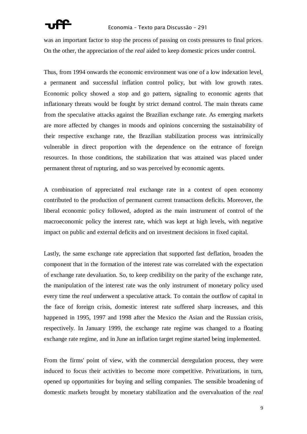

was an important factor to stop the process of passing on costs pressures to final prices. On the other, the appreciation of the *real* aided to keep domestic prices under control.

Thus, from 1994 onwards the economic environment was one of a low indexation level, a permanent and successful inflation control policy, but with low growth rates. Economic policy showed a stop and go pattern, signaling to economic agents that inflationary threats would be fought by strict demand control. The main threats came from the speculative attacks against the Brazilian exchange rate. As emerging markets are more affected by changes in moods and opinions concerning the sustainability of their respective exchange rate, the Brazilian stabilization process was intrinsically vulnerable in direct proportion with the dependence on the entrance of foreign resources. In those conditions, the stabilization that was attained was placed under permanent threat of rupturing, and so was perceived by economic agents.

A combination of appreciated real exchange rate in a context of open economy contributed to the production of permanent current transactions deficits. Moreover, the liberal economic policy followed, adopted as the main instrument of control of the macroeconomic policy the interest rate, which was kept at high levels, with negative impact on public and external deficits and on investment decisions in fixed capital.

Lastly, the same exchange rate appreciation that supported fast deflation, broaden the component that in the formation of the interest rate was correlated with the expectation of exchange rate devaluation. So, to keep credibility on the parity of the exchange rate, the manipulation of the interest rate was the only instrument of monetary policy used every time the *real* underwent a speculative attack. To contain the outflow of capital in the face of foreign crisis, domestic interest rate suffered sharp increases, and this happened in 1995, 1997 and 1998 after the Mexico the Asian and the Russian crisis, respectively. In January 1999, the exchange rate regime was changed to a floating exchange rate regime, and in June an inflation target regime started being implemented.

From the firms' point of view, with the commercial deregulation process, they were induced to focus their activities to become more competitive. Privatizations, in turn, opened up opportunities for buying and selling companies. The sensible broadening of domestic markets brought by monetary stabilization and the overvaluation of the *real*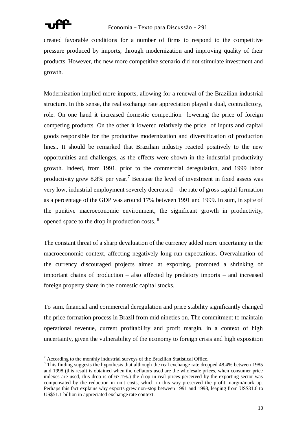

created favorable conditions for a number of firms to respond to the competitive pressure produced by imports, through modernization and improving quality of their products. However, the new more competitive scenario did not stimulate investment and growth.

Modernization implied more imports, allowing for a renewal of the Brazilian industrial structure. In this sense, the real exchange rate appreciation played a dual, contradictory, role. On one hand it increased domestic competition lowering the price of foreign competing products. On the other it lowered relatively the price of inputs and capital goods responsible for the productive modernization and diversification of production lines.. It should be remarked that Brazilian industry reacted positively to the new opportunities and challenges, as the effects were shown in the industrial productivity growth. Indeed, from 1991, prior to the commercial deregulation, and 1999 labor productivity grew 8.8% per year.<sup>7</sup> Because the level of investment in fixed assets was very low, industrial employment severely decreased – the rate of gross capital formation as a percentage of the GDP was around 17% between 1991 and 1999. In sum, in spite of the punitive macroeconomic environment, the significant growth in productivity, opened space to the drop in production costs. <sup>8</sup>

The constant threat of a sharp devaluation of the currency added more uncertainty in the macroeconomic context, affecting negatively long run expectations. Overvaluation of the currency discouraged projects aimed at exporting, promoted a shrinking of important chains of production – also affected by predatory imports – and increased foreign property share in the domestic capital stocks.

To sum, financial and commercial deregulation and price stability significantly changed the price formation process in Brazil from mid nineties on. The commitment to maintain operational revenue, current profitability and profit margin, in a context of high uncertainty, given the vulnerability of the economy to foreign crisis and high exposition

 $7 \text{ According to the monthly industrial surveys of the Brazilian Statistical Office.}$ 

<sup>&</sup>lt;sup>8</sup> This finding suggests the hypothesis that although the real exchange rate dropped 48.4% between 1985 and 1998 (this result is obtained when the deflators used are the wholesale prices, when consumer price indexes are used, this drop is of 67.1%.) the drop in real prices perceived by the exporting sector was compensated by the reduction in unit costs, which in this way preserved the profit margin/mark up. Perhaps this fact explains why exports grew non-stop between 1991 and 1998, leaping from US\$31.6 to US\$51.1 billion in appreciated exchange rate context.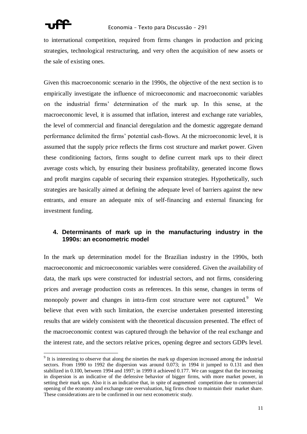

to international competition, required from firms changes in production and pricing strategies, technological restructuring, and very often the acquisition of new assets or the sale of existing ones.

Given this macroeconomic scenario in the 1990s, the objective of the next section is to empirically investigate the influence of microeconomic and macroeconomic variables on the industrial firms' determination of the mark up. In this sense, at the macroeconomic level, it is assumed that inflation, interest and exchange rate variables, the level of commercial and financial deregulation and the domestic aggregate demand performance delimited the firms' potential cash-flows. At the microeconomic level, it is assumed that the supply price reflects the firms cost structure and market power. Given these conditioning factors, firms sought to define current mark ups to their direct average costs which, by ensuring their business profitability, generated income flows and profit margins capable of securing their expansion strategies. Hypothetically, such strategies are basically aimed at defining the adequate level of barriers against the new entrants, and ensure an adequate mix of self-financing and external financing for investment funding.

#### **4. Determinants of mark up in the manufacturing industry in the 1990s: an econometric model**

In the mark up determination model for the Brazilian industry in the 1990s, both macroeconomic and microeconomic variables were considered. Given the availability of data, the mark ups were constructed for industrial sectors, and not firms, considering prices and average production costs as references. In this sense, changes in terms of monopoly power and changes in intra-firm cost structure were not captured. We believe that even with such limitation, the exercise undertaken presented interesting results that are widely consistent with the theoretical discussion presented. The effect of the macroeconomic context was captured through the behavior of the real exchange and the interest rate, and the sectors relative prices, opening degree and sectors GDPs level.

<sup>&</sup>lt;sup>9</sup> It is interesting to observe that along the nineties the mark up dispersion increased among the industrial sectors. From 1990 to 1992 the dispersion was around 0.073; in 1994 it jumped to 0.131 and then stabilized in 0.100, between 1994 and 1997; in 1999 it achieved 0.177. We can suggest that the increasing in dispersion is an indicative of the defensive behavior of bigger firms, with more market power, in setting their mark ups. Also it is an indicative that, in spite of augmented competition due to commercial opening of the economy and exchange rate overvaluation, big firms chose to maintain their market share. These considerations are to be confirmed in our next econometric study.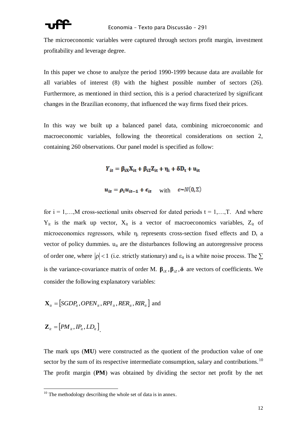The microeconomic variables were captured through sectors profit margin, investment profitability and leverage degree.

In this paper we chose to analyze the period 1990-1999 because data are available for all variables of interest (8) with the highest possible number of sectors (26). Furthermore, as mentioned in third section, this is a period characterized by significant changes in the Brazilian economy, that influenced the way firms fixed their prices.

In this way we built up a balanced panel data, combining microeconomic and macroeconomic variables, following the theoretical considerations on section 2, containing 260 observations. Our panel model is specified as follow:

 $Y_{it} = \beta_{ix} X_{it} + \beta_{i2} Z_{it} + \eta_i + \delta D_t + u_{it}$ 

 $u_{it} = \rho_i u_{it-1} + \epsilon_{it}$  with  $\epsilon \sim N(0, \Sigma)$ 

for  $i = 1,...,M$  cross-sectional units observed for dated periods  $t = 1,...,T$ . And where  $Y_{it}$  is the mark up vector,  $X_{it}$  is a vector of macroeconomics variables,  $Z_{it}$  of microeconomics regressors, while  $\eta_i$  represents cross-section fixed effects and  $D_t$  a vector of policy dummies.  $u_{it}$  are the disturbances following an autoregressive process of order one, where  $|\rho| < 1$  (i.e. strictly stationary) and  $\varepsilon_{it}$  is a white noise process. The  $\Sigma$ is the variance-covariance matrix of order M.  $\beta_{iX}$ ,  $\beta_{iZ}$ ,  $\delta$  are vectors of coefficients. We consider the following explanatory variables:

$$
\mathbf{X}_{it} = [SGDP_{it}, OPEN_{it}, RPI_{it}, RER_{it}, RIR_{it}]
$$
 and

$$
\mathbf{Z}_{it} = [PM_{it}, IP_{it}, LD_{it}]
$$

 $\overline{a}$ 

The mark ups (**MU**) were constructed as the quotient of the production value of one sector by the sum of its respective intermediate consumption, salary and contributions.<sup>10</sup> The profit margin (**PM**) was obtained by dividing the sector net profit by the net

 $10$  The methodology describing the whole set of data is in annex.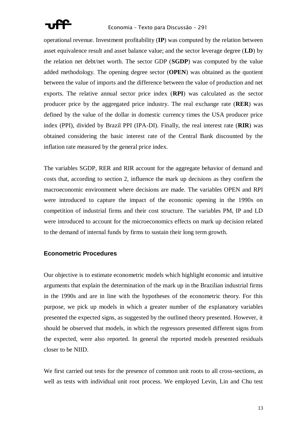

operational revenue. Investment profitability (**IP**) was computed by the relation between asset equivalence result and asset balance value; and the sector leverage degree (**LD**) by the relation net debt/net worth. The sector GDP (**SGDP**) was computed by the value added methodology. The opening degree sector (**OPEN**) was obtained as the quotient between the value of imports and the difference between the value of production and net exports. The relative annual sector price index (**RPI**) was calculated as the sector producer price by the aggregated price industry. The real exchange rate (**RER**) was defined by the value of the dollar in domestic currency times the USA producer price index (PPI), divided by Brazil PPI (IPA-DI). Finally, the real interest rate (**RIR**) was obtained considering the basic interest rate of the Central Bank discounted by the inflation rate measured by the general price index.

The variables SGDP, RER and RIR account for the aggregate behavior of demand and costs that, according to section 2, influence the mark up decisions as they confirm the macroeconomic environment where decisions are made. The variables OPEN and RPI were introduced to capture the impact of the economic opening in the 1990s on competition of industrial firms and their cost structure. The variables PM, IP and LD were introduced to account for the microeconomics effects on mark up decision related to the demand of internal funds by firms to sustain their long term growth.

#### **Econometric Procedures**

Our objective is to estimate econometric models which highlight economic and intuitive arguments that explain the determination of the mark up in the Brazilian industrial firms in the 1990s and are in line with the hypotheses of the econometric theory. For this purpose, we pick up models in which a greater number of the explanatory variables presented the expected signs, as suggested by the outlined theory presented. However, it should be observed that models, in which the regressors presented different signs from the expected, were also reported. In general the reported models presented residuals closer to be NIID.

We first carried out tests for the presence of common unit roots to all cross-sections, as well as tests with individual unit root process. We employed Levin, Lin and Chu test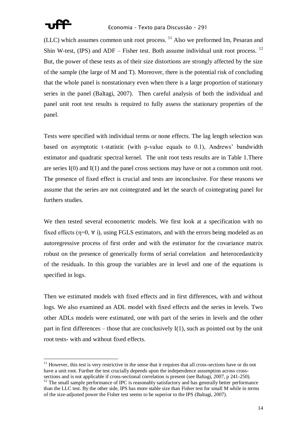

 $(LLC)$  which assumes common unit root process.  $11$  Also we preformed Im, Pesaran and Shin W-test, (IPS) and ADF – Fisher test. Both assume individual unit root process.  $^{12}$ But, the power of these tests as of their size distortions are strongly affected by the size of the sample (the large of M and T). Moreover, there is the potential risk of concluding that the whole panel is nonstationary even when there is a large proportion of stationary series in the panel (Baltagi, 2007). Then careful analysis of both the individual and panel unit root test results is required to fully assess the stationary properties of the panel.

Tests were specified with individual terms or none effects. The lag length selection was based on asymptotic t-statistic (with p-value equals to 0.1), Andrews' bandwidth estimator and quadratic spectral kernel. The unit root tests results are in Table 1.There are series I(0) and I(1) and the panel cross sections may have or not a common unit root. The presence of fixed effect is crucial and tests are inconclusive. For these reasons we assume that the series are not cointegrated and let the search of cointegrating panel for furthers studies.

We then tested several econometric models. We first look at a specification with no fixed effects ( $\eta$ =0,  $\forall$  i), using FGLS estimators, and with the errors being modeled as an autoregressive process of first order and with the estimator for the covariance matrix robust on the presence of generically forms of serial correlation and heterocedasticity of the residuals. In this group the variables are in level and one of the equations is specified in logs.

Then we estimated models with fixed effects and in first differences, with and without logs. We also examined an ADL model with fixed effects and the series in levels. Two other ADLs models were estimated, one with part of the series in levels and the other part in first differences – those that are conclusively  $I(1)$ , such as pointed out by the unit root tests- with and without fixed effects.

 $11$  However, this test is very restrictive in the sense that it requires that all cross-sections have or do not have a unit root. Further the test crucially depends upon the independence assumption across crosssections and is not applicable if cross-sectional correlation is present (see Baltagi, 2007, p 241-250).

<sup>&</sup>lt;sup>12</sup> The small sample performance of IPC is reasonably satisfactory and has generally better performance than the LLC test. By the other side, IPS has more stable size than Fisher test for small M while in terms of the size-adjusted power the Fisher test seems to be superior to the IPS (Baltagi, 2007).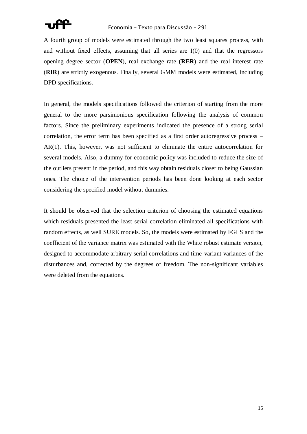

A fourth group of models were estimated through the two least squares process, with and without fixed effects, assuming that all series are I(0) and that the regressors opening degree sector (**OPEN**), real exchange rate (**RER**) and the real interest rate (**RIR**) are strictly exogenous. Finally, several GMM models were estimated, including DPD specifications.

In general, the models specifications followed the criterion of starting from the more general to the more parsimonious specification following the analysis of common factors. Since the preliminary experiments indicated the presence of a strong serial correlation, the error term has been specified as a first order autoregressive process – AR(1). This, however, was not sufficient to eliminate the entire autocorrelation for several models. Also, a dummy for economic policy was included to reduce the size of the outliers present in the period, and this way obtain residuals closer to being Gaussian ones. The choice of the intervention periods has been done looking at each sector considering the specified model without dummies.

It should be observed that the selection criterion of choosing the estimated equations which residuals presented the least serial correlation eliminated all specifications with random effects, as well SURE models. So, the models were estimated by FGLS and the coefficient of the variance matrix was estimated with the White robust estimate version, designed to accommodate arbitrary serial correlations and time-variant variances of the disturbances and, corrected by the degrees of freedom. The non-significant variables were deleted from the equations.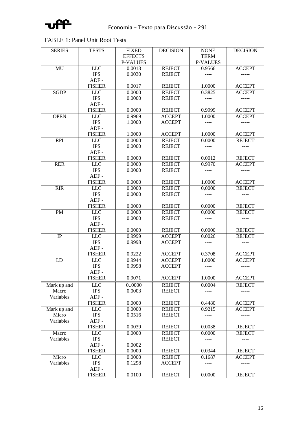

### TABLE 1: Panel Unit Root Tests

| <b>SERIES</b> | <b>TESTS</b>  | <b>FIXED</b>    | <b>DECISION</b> | <b>NONE</b>     | <b>DECISION</b> |
|---------------|---------------|-----------------|-----------------|-----------------|-----------------|
|               |               | <b>EFFECTS</b>  |                 | <b>TERM</b>     |                 |
|               |               | <b>P-VALUES</b> |                 | <b>P-VALUES</b> |                 |
| MU            | <b>LLC</b>    | 0.0013          | <b>REJECT</b>   | 0.9566          | <b>ACCEPT</b>   |
|               | <b>IPS</b>    | 0.0030          | <b>REJECT</b>   | $- - - -$       |                 |
|               | $ADF -$       |                 |                 |                 |                 |
|               | <b>FISHER</b> | 0.0017          | <b>REJECT</b>   | 1.0000          | <b>ACCEPT</b>   |
| <b>SGDP</b>   | <b>LLC</b>    | 0.0000          | <b>REJECT</b>   | 0.3825          | <b>ACCEPT</b>   |
|               | <b>IPS</b>    | 0.0000          | <b>REJECT</b>   | $- - - -$       | $- - - - -$     |
|               | $ADF -$       |                 |                 |                 |                 |
|               | <b>FISHER</b> | 0.0000          | <b>REJECT</b>   | 0.9999          | <b>ACCEPT</b>   |
| <b>OPEN</b>   | <b>LLC</b>    | 0.9969          | <b>ACCEPT</b>   | 1.0000          | <b>ACCEPT</b>   |
|               | <b>IPS</b>    | 1.0000          | <b>ACCEPT</b>   |                 |                 |
|               | $ADF -$       |                 |                 |                 |                 |
|               | <b>FISHER</b> | 1.0000          | <b>ACCEPT</b>   | 1.0000          | <b>ACCEPT</b>   |
| <b>RPI</b>    | <b>LLC</b>    | 0.0000          | <b>REJECT</b>   | 0.0000          | <b>REJECT</b>   |
|               | <b>IPS</b>    | 0.0000          | <b>REJECT</b>   |                 |                 |
|               | $ADF -$       |                 |                 |                 |                 |
|               | <b>FISHER</b> | 0.0000          | <b>REJECT</b>   | 0.0012          | <b>REJECT</b>   |
| <b>RER</b>    | <b>LLC</b>    | 0.0000          | <b>REJECT</b>   | 0.9970          | <b>ACCEPT</b>   |
|               | <b>IPS</b>    | 0.0000          | <b>REJECT</b>   |                 |                 |
|               | $ADF -$       |                 |                 |                 |                 |
|               | <b>FISHER</b> | 0.0000          | <b>REJECT</b>   | 1.0000          | <b>ACCEPT</b>   |
| <b>RIR</b>    | <b>LLC</b>    | 0.0000          | <b>REJECT</b>   | 0,0000          | <b>REJECT</b>   |
|               | <b>IPS</b>    | 0.0000          | <b>REJECT</b>   |                 |                 |
|               | $ADF -$       |                 |                 |                 |                 |
|               | <b>FISHER</b> | 0.0000          | <b>REJECT</b>   | 0.0000          | <b>REJECT</b>   |
| PM            | <b>LLC</b>    | 0.0000          | <b>REJECT</b>   | 0,0000          | <b>REJECT</b>   |
|               | <b>IPS</b>    | 0.0000          | <b>REJECT</b>   |                 |                 |
|               | $ADF -$       |                 |                 |                 |                 |
|               | <b>FISHER</b> | 0.0000          | <b>REJECT</b>   | 0.0000          | <b>REJECT</b>   |
| $\rm IP$      | <b>LLC</b>    | 0.9999          | <b>ACCEPT</b>   | 0.0026          | <b>REJECT</b>   |
|               | <b>IPS</b>    | 0.9998          | <b>ACCEPT</b>   | ----            | $- - - -$       |
|               | $ADF -$       |                 |                 |                 |                 |
|               | <b>FISHER</b> | 0.9222          | <b>ACCEPT</b>   | 0.3708          | <b>ACCEPT</b>   |
| LD            | <b>LLC</b>    | 0.9944          | <b>ACCEPT</b>   | 1.0000          | <b>ACCEPT</b>   |
|               | <b>IPS</b>    | 0.9998          | <b>ACCEPT</b>   |                 |                 |
|               | $ADF -$       |                 |                 |                 |                 |
|               | <b>FISHER</b> | 0.9071          | <b>ACCEPT</b>   | 1.0000          | <b>ACCEPT</b>   |
| Mark up and   | LLC           | 00000           | <b>REJECT</b>   | 0.0004          | <b>REJECT</b>   |
| Macro         | <b>IPS</b>    | 0.0003          | <b>REJECT</b>   | ----            | -----           |
| Variables     | $ADF -$       |                 |                 |                 |                 |
|               | <b>FISHER</b> | 0.0000          | <b>REJECT</b>   | 0.4480          | <b>ACCEPT</b>   |
| Mark up and   | <b>LLC</b>    | 0.0000          | <b>REJECT</b>   | 0.9215          | <b>ACCEPT</b>   |
| Micro         | <b>IPS</b>    | 0.0516          | <b>REJECT</b>   | ----            | -----           |
| Variables     | $ADF -$       |                 |                 |                 |                 |
|               | <b>FISHER</b> | 0.0039          | <b>REJECT</b>   | 0.0038          | <b>REJECT</b>   |
| Macro         | <b>LLC</b>    | 0.0000          | <b>REJECT</b>   | 0.0000          | <b>REJECT</b>   |
| Variables     | <b>IPS</b>    |                 | <b>REJECT</b>   | ----            | $---$           |
|               | $ADF -$       | 0.0002          |                 |                 |                 |
|               | <b>FISHER</b> | 0.0000          | <b>REJECT</b>   | 0.0344          | <b>REJECT</b>   |
| Micro         | <b>LLC</b>    | 0.0000          | <b>REJECT</b>   | 0.1687          | <b>ACCEPT</b>   |
| Variables     | <b>IPS</b>    | 0.1298          | <b>ACCEPT</b>   | ----            | -----           |
|               | $ADF -$       |                 |                 |                 |                 |
|               | <b>FISHER</b> | 0.0100          | <b>REJECT</b>   | 0.0000          | <b>REJECT</b>   |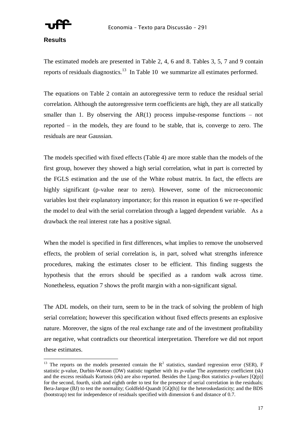

#### **Results**

 $\overline{a}$ 

The estimated models are presented in Table 2, 4, 6 and 8. Tables 3, 5, 7 and 9 contain reports of residuals diagnostics.<sup>13</sup> In Table 10 we summarize all estimates performed.

The equations on Table 2 contain an autoregressive term to reduce the residual serial correlation. Although the autoregressive term coefficients are high, they are all statically smaller than 1. By observing the  $AR(1)$  process impulse-response functions – not reported – in the models, they are found to be stable, that is, converge to zero. The residuals are near Gaussian.

The models specified with fixed effects (Table 4) are more stable than the models of the first group, however they showed a high serial correlation, what in part is corrected by the FGLS estimation and the use of the White robust matrix. In fact, the effects are highly significant (p-value near to zero). However, some of the microeconomic variables lost their explanatory importance; for this reason in equation 6 we re-specified the model to deal with the serial correlation through a lagged dependent variable. As a drawback the real interest rate has a positive signal.

When the model is specified in first differences, what implies to remove the unobserved effects, the problem of serial correlation is, in part, solved what strengths inference procedures, making the estimates closer to be efficient. This finding suggests the hypothesis that the errors should be specified as a random walk across time. Nonetheless, equation 7 shows the profit margin with a non-significant signal.

The ADL models, on their turn, seem to be in the track of solving the problem of high serial correlation; however this specification without fixed effects presents an explosive nature. Moreover, the signs of the real exchange rate and of the investment profitability are negative, what contradicts our theoretical interpretation. Therefore we did not report these estimates.

<sup>&</sup>lt;sup>13</sup> The reports on the models presented contain the  $R^2$  statistics, standard regression error (SER), F statistic p-value, Durbin-Watson (DW) statistic together with its *p-value* The asymmetry coefficient (sk) and the excess residuals Kurtosis (ek) are also reported. Besides the Ljung-Box statistics *p-values* [Q(p)] for the second, fourth, sixth and eighth order to test for the presence of serial correlation in the residuals; Bera-Jarque (BJ) to test the normality; Goldfeld-Quandt [GQ(h)] for the heteroskedasticity; and the BDS (bootstrap) test for independence of residuals specified with dimension 6 and distance of 0.7.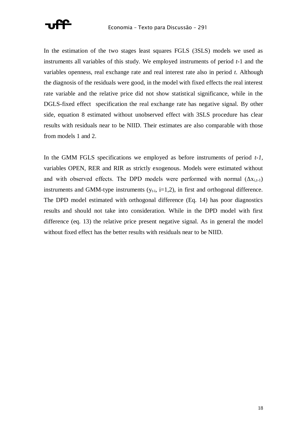

In the estimation of the two stages least squares FGLS (3SLS) models we used as instruments all variables of this study. We employed instruments of period *t*-1 and the variables openness, real exchange rate and real interest rate also in period *t*. Although the diagnosis of the residuals were good, in the model with fixed effects the real interest rate variable and the relative price did not show statistical significance, while in the DGLS-fixed effect specification the real exchange rate has negative signal. By other side, equation 8 estimated without unobserved effect with 3SLS procedure has clear results with residuals near to be NIID. Their estimates are also comparable with those from models 1 and 2.

In the GMM FGLS specifications we employed as before instruments of period *t-1*, variables OPEN, RER and RIR as strictly exogenous. Models were estimated without and with observed effects. The DPD models were performed with normal  $(\Delta x_{i,t-1})$ instruments and GMM-type instruments  $(y_{t-i}, i=1,2)$ , in first and orthogonal difference. The DPD model estimated with orthogonal difference (Eq. 14) has poor diagnostics results and should not take into consideration. While in the DPD model with first difference (eq. 13) the relative price present negative signal. As in general the model without fixed effect has the better results with residuals near to be NIID.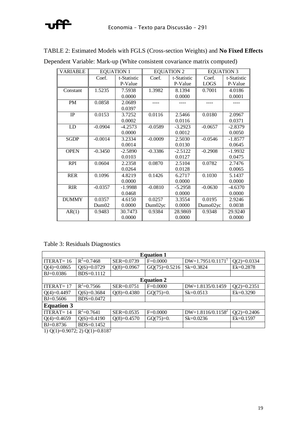# ₩

| <b>VARIABLE</b> |           | <b>EQUATION 1</b> |           | <b>EQUATION 2</b> | <b>EQUATION 3</b> |             |
|-----------------|-----------|-------------------|-----------|-------------------|-------------------|-------------|
|                 | Coef.     | t-Statistic       | Coef.     | t-Statistic       | Coef.             | t-Statistic |
|                 |           | P-Value           |           | P-Value           | <b>LOGS</b>       | P-Value     |
| Constant        | 1.5235    | 7.5938            | 1.3982    | 8.1394            | 0.7001            | 4.0186      |
|                 |           | 0.0000            |           | 0.0000            |                   | 0.0001      |
| PM              | 0.0858    | 2.0689            |           |                   |                   |             |
|                 |           | 0.0397            |           |                   |                   |             |
| $\rm IP$        | 0.0153    | 3.7252            | 0.0116    | 2.5466            | 0.0180            | 2.0967      |
|                 |           | 0.0002            |           | 0.0116            |                   | 0.0371      |
| LD              | $-0.0904$ | $-4.2573$         | $-0.0589$ | $-3.2923$         | $-0.0657$         | $-2.8379$   |
|                 |           | 0.0000            |           | 0.0012            |                   | 0.0050      |
| <b>SGDP</b>     | $-0.0014$ | 3.2334            | $-0.0009$ | 2.5030            | $-0.0546$         | $-1.8577$   |
|                 |           | 0.0014            |           | 0.0130            |                   | 0.0645      |
| <b>OPEN</b>     | $-0.3450$ | $-2.5890$         | $-0.3386$ | $-2.5122$         | $-0.2908$         | $-1.9932$   |
|                 |           | 0.0103            |           | 0.0127            |                   | 0.0475      |
| <b>RPI</b>      | 0.0604    | 2.2358            | 0.0870    | 2.5104            | 0.0782            | 2.7476      |
|                 |           | 0.0264            |           | 0.0128            |                   | 0.0065      |
| <b>RER</b>      | 0.1096    | 4.8219            | 0.1426    | 6.2717            | 0.1030            | 5.1437      |
|                 |           | 0.0000            |           | 0.0000            |                   | 0.0000      |
| <b>RIR</b>      | $-0.0357$ | $-1.9988$         | $-0.0810$ | $-5.2958$         | $-0.0630$         | $-4.6370$   |
|                 |           | 0.0468            |           | 0.0000            |                   | 0.0000      |
| <b>DUMMY</b>    | 0.0357    | 4.6150            | 0.0257    | 3.3554            | 0.0195            | 2.9246      |
|                 | Dum02     | 0.0000            | Dum02yc   | 0.0000            | Dumo02yc          | 0.0038      |
| AR(1)           | 0.9483    | 30.7473           | 0.9384    | 28.9869           | 0.9348            | 29.9240     |
|                 |           | 0.0000            |           | 0.0000            |                   | 0.0000      |

TABLE 2: Estimated Models with FGLS (Cross-section Weights) and **No Fixed Effects** Dependent Variable: Mark-up (White consistent covariance matrix computed)

Table 3: Residuals Diagnostics

| <b>Equation 1</b> |                |                |                 |                      |               |  |  |  |  |
|-------------------|----------------|----------------|-----------------|----------------------|---------------|--|--|--|--|
| ITERAT $=$ 16     | $R^2 = 0.7468$ | SER=0.0739     | $F=0.0000$      | $DW=1.7951/0.11711$  | $Q(2)=0.0334$ |  |  |  |  |
| $Q(4)=0.0865$     | $Q(6)=0.0729$  | $Q(8)=0.0967$  | $GQ(75)=0.5216$ | $Sk = 0.3824$        | $Ek=0.2878$   |  |  |  |  |
| $BJ = 0.0386$     | $BDS = 0.1112$ |                |                 |                      |               |  |  |  |  |
| <b>Equation 2</b> |                |                |                 |                      |               |  |  |  |  |
| ITERAT $=$ 17     | $R^2 = 0.7566$ | SER=0.0751     | $F=0.0000$      | DW=1.8135/0.1459     | $Q(2)=0.2351$ |  |  |  |  |
| $Q(4)=0.4497$     | $Q(6)=0.3684$  | $Q(8)=0.4380$  | $GQ(75)=0.$     | $Sk = 0.0513$        | $Ek=0.3290$   |  |  |  |  |
| $BJ = 0.5606$     | BDS=0.0472     |                |                 |                      |               |  |  |  |  |
| <b>Equation 3</b> |                |                |                 |                      |               |  |  |  |  |
| ITERAT $=$ 14     | $R^2 = 0.7641$ | $SER = 0.0535$ | $F=0.0000$      | $DW=1.8116/0.1158^2$ | $Q(2)=0.2406$ |  |  |  |  |
| $Q(4)=0.4659$     | $Q(6)=0.4190$  | $Q(8)=0.4570$  | $GQ(75)=0.$     | $Sk = 0.0236$        | $Ek=0.1597$   |  |  |  |  |
| $BJ = 0.8736$     | BDS=0.1452     |                |                 |                      |               |  |  |  |  |

1) Q(1)=0.9072; 2) Q(1)=0.8187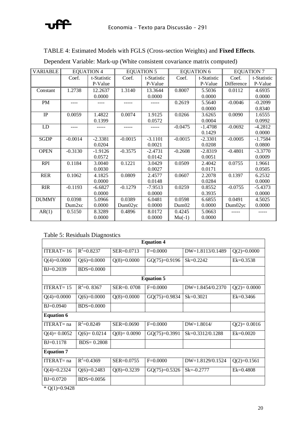

#### TABLE 4: Estimated Models with FGLS (Cross-section Weights) and **Fixed Effects**.

| <b>VARIABLE</b> |                    | <b>EQUATION 4</b> |           | <b>EQUATION 5</b> | <b>EQUATION 6</b> |             | <b>EQUATION 7</b> |             |
|-----------------|--------------------|-------------------|-----------|-------------------|-------------------|-------------|-------------------|-------------|
|                 | Coef.              | t-Statistic       | Coef.     | t-Statistic       | Coef.             | t-Statistic | Coef.             | t-Statistic |
|                 |                    | P-Value           |           | P-Value           |                   | P-Value     | Difference        | P-Value     |
| Constant        | 1.2738             | 12.2637           | 1.3140    | 13.3644           | 0.8007            | 5.5036      | 0.0112            | 4.6935      |
|                 |                    | 0.0000            |           | 0.0000            |                   | 0.0000      |                   | 0.0000      |
| PM              |                    |                   |           |                   | 0.2619            | 5.5640      | $-0.0046$         | $-0.2099$   |
|                 |                    |                   |           |                   |                   | 0.0000      |                   | 0.8340      |
| IP              | 0.0059             | 1.4822            | 0.0074    | 1.9125            | 0.0266            | 3.6265      | 0.0090            | 1.6555      |
|                 |                    | 0.1399            |           | 0.0572            |                   | 0.0004      |                   | 0.0992      |
| LD              |                    |                   |           |                   | $-0.0475$         | $-1.4708$   | $-0.0692$         | $-4.2812$   |
|                 |                    |                   |           |                   |                   | 0.1429      |                   | 0.0000      |
| <b>SGDP</b>     | $-0.0014$          | $-2.3381$         | $-0.0015$ | $-3.1101$         | $-0.0015$         | $-2.3301$   | $-0.0005$         | $-1.7584$   |
|                 |                    | 0.0204            |           | 0.0021            |                   | 0.0208      |                   | 0.0800      |
| <b>OPEN</b>     | $-0.3130$          | $-1.9126$         | $-0.3575$ | $-2.4731$         | $-0.2608$         | $-2.8319$   | $-0.4801$         | $-3.3770$   |
|                 |                    | 0.0572            |           | 0.0142            |                   | 0.0051      |                   | 0.0009      |
| <b>RPI</b>      | 0.1184             | 3.0040            | 0.1221    | 3.0429            | 0.0509            | 2.4042      | 0.0755            | 1.9661      |
|                 |                    | 0.0030            |           | 0.0027            |                   | 0.0171      |                   | 0.0505      |
| <b>RER</b>      | 0.1062             | 4.1825            | 0.0809    | 2.4577            | 0.0607            | 2.2078      | 0.1397            | 6.2532      |
|                 |                    | 0.0000            |           | 0.0148            |                   | 0.0284      |                   | 0.0000      |
| <b>RIR</b>      | $-0.1193$          | $-6.6827$         | $-0.1279$ | $-7.9513$         | 0.0259            | 0.8552      | $-0.0755$         | $-5.4373$   |
|                 |                    | 0.0000            |           | 0.0000            |                   | 0.3935      |                   | 0.0000      |
| <b>DUMMY</b>    | 0.0398             | 5.0966            | 0.0389    | 6.0481            | 0.0598            | 6.6855      | 0.0491            | 4.5025      |
|                 | Dum <sub>2xc</sub> | 0.0000            | Dum02yc   | 0.0000            | Dum02             | 0.0000      | Dum02yc           | 0.0000      |
| AR(1)           | 0.5150             | 8.3289            | 0.4896    | 8.0172            | 0.4245            | 5.0663      |                   |             |
|                 |                    | 0.0000            |           | 0.0000            | $Mu(-1)$          | 0.0000      |                   |             |

Dependent Variable: Mark-up (White consistent covariance matrix computed)

#### Table 5: Residuals Diagnostics

| <b>Equation 4</b> |                   |                |                 |                    |               |  |  |  |  |  |
|-------------------|-------------------|----------------|-----------------|--------------------|---------------|--|--|--|--|--|
| ITERAT= $16$      | $R^2 = 0.8237$    | $SER = 0.0713$ | $F=0.0000$      | $DW=1.8113/0.1489$ | $Q(2)=0.0000$ |  |  |  |  |  |
| $Q(4)=0.0000$     | $Q(6)=0.0000$     | $Q(8)=0.0000$  | $GQ(75)=0.9196$ | $Sk = 0.2242$      | $Ek=0.3538$   |  |  |  |  |  |
| $B = 0.2039$      | $BDS=0.0000$      |                |                 |                    |               |  |  |  |  |  |
|                   | <b>Equation 5</b> |                |                 |                    |               |  |  |  |  |  |
| ITERAT $=$ 15     | $R^2=0.8367$      | SER=0.0708     | $F=0.0000$      | $DW=1.8454/0.2370$ | $Q(2)=0.0000$ |  |  |  |  |  |
| $Q(4)=0.0000$     | $Q(6)=0.0000$     | $Q(8)=0.0000$  | $GQ(75)=0.9834$ | $Sk = 0.3021$      | $Ek=0.3466$   |  |  |  |  |  |
| $BJ = 0.0940$     | $BDS=0.0000$      |                |                 |                    |               |  |  |  |  |  |
| <b>Equation 6</b> |                   |                |                 |                    |               |  |  |  |  |  |
| $ITERAT = na$     | $R^2=0.8249$      | $SER = 0.0690$ | $F=0.0000$      | $DW=1.8014/$       | $Q(2)=0.0016$ |  |  |  |  |  |
| $Q(4)=0.0052$     | $Q(6)=0.0214$     | $Q(8)=0.0090$  | $GQ(75)=0.3991$ | Sk=0.3312/0.1288   | $Ek=0.0020$   |  |  |  |  |  |
| $B = 0.1178$      | $BDS = 0.2808$    |                |                 |                    |               |  |  |  |  |  |
| <b>Equation 7</b> |                   |                |                 |                    |               |  |  |  |  |  |
| $ITERAT = na$     | $R^2 = 0.4369$    | $SER = 0.0755$ | $F=0.0000$      | $DW=1.8129/0.1524$ | $Q(2)=0.1561$ |  |  |  |  |  |
| $Q(4)=0.2324$     | $Q(6)=0.2483$     | $Q(8)=0.3239$  | $GQ(75)=0.5326$ | $Sk = -0.2777$     | $Ek = 0.4808$ |  |  |  |  |  |
| $BJ = 0.0720$     | $BDS=0.0056$      |                |                 |                    |               |  |  |  |  |  |

 $*$  Q(1)=0.9428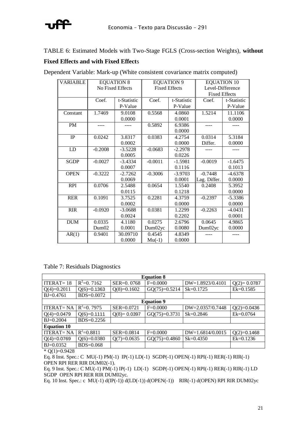

#### TABLE 6: Estimated Models with Two-Stage FGLS (Cross-section Weights), **without**

#### **Fixed Effects and with Fixed Effect**s

| <b>VARIABLE</b> |           | <b>EQUATION 8</b> | <b>EQUATION 9</b>    |             | <b>EQUATION 10</b>   |             |
|-----------------|-----------|-------------------|----------------------|-------------|----------------------|-------------|
|                 |           | No Fixed Effects  | <b>Fixed Effects</b> |             | Level-Difference     |             |
|                 |           |                   |                      |             | <b>Fixed Effects</b> |             |
|                 | Coef.     | t-Statistic       | Coef.                | t-Statistic | Coef.                | t-Statistic |
|                 |           | P-Value           |                      | P-Value     |                      | P-Value     |
| Constant        | 1.7469    | 9.0108            | 0.5568               | 4.0860      | 1.5214               | 11.1106     |
|                 |           | 0.0000            |                      | 0.0001      |                      | 0.0000      |
| PM              |           |                   | 0.5892               | 6.9386      |                      |             |
|                 |           |                   |                      | 0.0000      |                      |             |
| IP              | 0.0242    | 3.8317            | 0.0383               | 4.2754      | 0.0314               | 5.3184      |
|                 |           | 0.0002            |                      | 0.0000      | Differ.              | 0.0000      |
| LD              | $-0.2008$ | $-3.5228$         | $-0.0683$            | $-2.2978$   |                      |             |
|                 |           | 0.0005            |                      | 0.0226      |                      |             |
| <b>SGDP</b>     | $-0.0027$ | $-3.4334$         | $-0.0011$            | $-1.5981$   | $-0.0019$            | $-1.6475$   |
|                 |           | 0.0007            |                      | 0.1116      |                      | 0.1013      |
| <b>OPEN</b>     | $-0.3222$ | $-2.7262$         | $-0.3006$            | $-3.9703$   | $-0.7448$            | $-4.6378$   |
|                 |           | 0.0069            |                      | 0.0001      | Lag. Differ.         | 0.0000      |
| <b>RPI</b>      | 0.0706    | 2.5488            | 0.0654               | 1.5540      | 0.2408               | 5.3952      |
|                 |           | 0.0115            |                      | 0.1218      |                      | 0.0000      |
| <b>RER</b>      | 0.1091    | 3.7525            | 0.2281               | 4.3759      | $-0.2397$            | $-5.3386$   |
|                 |           | 0.0002            |                      | 0.0000      |                      | 0.0000      |
| <b>RIR</b>      | $-0.0920$ | $-3.0688$         | 0.0381               | 1.2299      | $-0.2263$            | $-4.0431$   |
|                 |           | 0.0024            |                      | 0.2202      |                      | 0.0001      |
| <b>DUM</b>      | 0.0335    | 4.1180            | 0.0275               | 2.6796      | 0.0645               | 4.9865      |
|                 | Dum02     | 0.0001            | Dum02yc              | 0.0080      | Dum02yc              | 0.0000      |
| AR(1)           | 0.9401    | 30.09710          | 0.4545               | 4.8349      |                      |             |
|                 |           | 0.0000            | $Mu(-1)$             | 0.0000      |                      |             |

Dependent Variable: Mark-up (White consistent covariance matrix computed)

|  |  | Table 7: Residuals Diagnostics |
|--|--|--------------------------------|
|--|--|--------------------------------|

| <b>Equation 8</b>  |                |                |                 |                    |               |  |  |  |
|--------------------|----------------|----------------|-----------------|--------------------|---------------|--|--|--|
| $ITERAT = 18$      | $R^2 = 0.7162$ | SER=0.0768     | $F=0.0000$      | DW=1.8923/0.4101   | $Q(2)=0.0787$ |  |  |  |
| $Q(4)=0.2011$      | $Q(6)=0.1363$  | $Q(8)=0.1602$  | $GQ(75)=0.5214$ | $Sk = 0.1725$      | $Ek=0.1585$   |  |  |  |
| $BJ = 0.4761$      | BDS=0.0072     |                |                 |                    |               |  |  |  |
| <b>Equation 9</b>  |                |                |                 |                    |               |  |  |  |
| <b>ITERAT=NA</b>   | $R^2=0.7975$   | SER=0.0721     | $F=0.0000$      | DW=2.0357/0.7448   | $Q(2)=0.0436$ |  |  |  |
| $Q(4)=0.0479$      | $Q(6)=0.1111$  | $Q(8)=0.0397$  | $GQ(75)=0.3731$ | $Sk = 0.2846$      | $Ek = 0.0764$ |  |  |  |
| $BJ = 0.2004$      | BDS=0.2256     |                |                 |                    |               |  |  |  |
| <b>Equation 10</b> |                |                |                 |                    |               |  |  |  |
| <b>ITERAT=NA</b>   | $R^2 = 0.8811$ | $SER = 0.0814$ | $F=0.0000$      | $DW=1.6814/0.0015$ | $O(2)=0.1468$ |  |  |  |
| $Q(4)=0.0769$      | $Q(6)=0.0380$  | $Q(7)=0.0635$  | $GQ(75)=0.4860$ | $Sk = 0.4350$      | $Ek=0.1236$   |  |  |  |
| $BJ = 0.0352$      | $BDS=0.068$    |                |                 |                    |               |  |  |  |

 $*$  Q(1)=0.9428

Eq. 8 Inst. Spec.: C MU(-1) PM(-1) IP(-1) LD(-1) SGDP(-1) OPEN(-1) RPI(-1) RER(-1) RIR(-1) OPEN RPI RER RIR DUM02(-1).

Eq. 9 Inst. Spec.: C MU(-1) PM(-1) IP(-1) LD(-1) SGDP(-1) OPEN(-1) RPI(-1) RER(-1) RIR(-1) LD SGDP OPEN RPI RER RIR DUM02yc.

Eq. 10 Inst. Spec.: c MU(-1)  $d(IP(-1))$   $d(LD(-1))$   $d(OPEN(-1))$  RIR(-1)  $d(OPEN)$  RPI RIR DUM02yc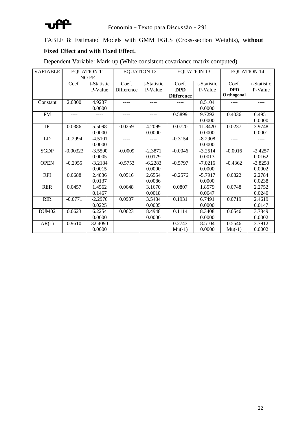

TABLE 8: Estimated Models with GMM FGLS (Cross-section Weights), **without**

#### **Fixed Effect and with Fixed Effect.**

Dependent Variable: Mark-up (White consistent covariance matrix computed)

| <b>VARIABLE</b>   |            | <b>EQUATION 11</b> | <b>EQUATION 12</b> |             | <b>EQUATION 13</b> |             | <b>EQUATION 14</b> |             |
|-------------------|------------|--------------------|--------------------|-------------|--------------------|-------------|--------------------|-------------|
|                   |            | <b>NOFE</b>        |                    |             |                    |             |                    |             |
|                   | Coef.      | t-Statistic        | Coef.              | t-Statistic | Coef.              | t-Statistic | Coef.              | t-Statistic |
|                   |            | P-Value            | Difference         | P-Value     | <b>DPD</b>         | P-Value     | <b>DPD</b>         | P-Value     |
|                   |            |                    |                    |             | <b>Difference</b>  |             | Orthogonal         |             |
| Constant          | 2.0300     | 4.9237             |                    | ----        |                    | 8.5104      | ----               | ----        |
|                   |            | 0.0000             |                    |             |                    | 0.0000      |                    |             |
| PM                | $- - - -$  |                    | ----               | ----        | 0.5899             | 9.7292      | 0.4036             | 6.4951      |
|                   |            |                    |                    |             |                    | 0.0000      |                    | 0.0000      |
| $\rm IP$          | 0.0386     | 5.5098             | 0.0259             | 4.2099      | 0.0720             | 11.8420     | 0.0237             | 3.9748      |
|                   |            | 0.0000             |                    | 0.0000      |                    | 0.0000      |                    | 0.0001      |
| LD                | $-0.2994$  | $-4.5101$          | ----               |             | $-0.3154$          | $-8.2908$   | $- - - -$          | ----        |
|                   |            | 0.0000             |                    |             |                    | 0.0000      |                    |             |
| <b>SGDP</b>       | $-0.00323$ | $-3.5590$          | $-0.0009$          | $-2.3871$   | $-0.0046$          | $-3.2514$   | $-0.0016$          | $-2.4257$   |
|                   |            | 0.0005             |                    | 0.0179      |                    | 0.0013      |                    | 0.0162      |
| <b>OPEN</b>       | $-0.2955$  | $-3.2184$          | $-0.5753$          | $-6.2283$   | $-0.5797$          | $-7.0216$   | $-0.4362$          | $-3.8258$   |
|                   |            | 0.0015             |                    | 0.0000      |                    | 0.0000      |                    | 0.0002      |
| <b>RPI</b>        | 0.0688     | 2.4836             | 0.0516             | 2.6554      | $-0.2576$          | $-5.7917$   | 0.0822             | 2.2784      |
|                   |            | 0.0137             |                    | 0.0086      |                    | 0.0000      |                    | 0.0238      |
| <b>RER</b>        | 0.0457     | 1.4562             | 0.0648             | 3.1670      | 0.0807             | 1.8579      | 0.0748             | 2.2752      |
|                   |            | 0.1467             |                    | 0.0018      |                    | 0.0647      |                    | 0.0240      |
| <b>RIR</b>        | $-0.0771$  | $-2.2976$          | 0.0907             | 3.5484      | 0.1931             | 6.7491      | 0.0719             | 2.4619      |
|                   |            | 0.0225             |                    | 0.0005      |                    | 0.0000      |                    | 0.0147      |
| DUM <sub>02</sub> | 0.0623     | 6.2254             | 0.0623             | 8.4948      | 0.1114             | 8.3408      | 0.0546             | 3.7849      |
|                   |            | 0.0000             |                    | 0.0000      |                    | 0.0000      |                    | 0.0002      |
| AR(1)             | 0.9610     | 32.4090            |                    |             | 0.2743             | 8.5104      | 0.5546             | 3.7912      |
|                   |            | 0.0000             |                    |             | $Mu(-1)$           | 0.0000      | $Mu(-1)$           | 0.0002      |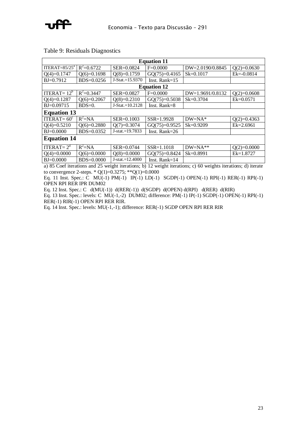

Table 9: Residuals Diagnostics

| <b>Equation 11</b> |                    |                   |                  |                  |                |  |  |  |  |
|--------------------|--------------------|-------------------|------------------|------------------|----------------|--|--|--|--|
| ITERAT= $85/25^a$  | $R^2 = 0.6722$     | SER=0.0824        | $F=0.0000$       | DW=2.0190/0.8845 | $Q(2)=0.0630$  |  |  |  |  |
| $Q(4)=0.1747$      | $Q(6)=0.1698$      | $Q(8)=0.1759$     | $GQ(75)=0.4165$  | $Sk = 0.1017$    | $Ek = -0.0814$ |  |  |  |  |
| $BJ=0.7912$        | BDS=0.0256         | J-Stat.=15.9370   | Inst. Rank= $15$ |                  |                |  |  |  |  |
| <b>Equation 12</b> |                    |                   |                  |                  |                |  |  |  |  |
| ITERAT= $12^b$     | $R^2 = 0.3447$     | SER=0.0827        | $F=0.0000$       | DW=1.9691/0.8132 | $Q(2)=0.0608$  |  |  |  |  |
| $Q(4)=0.1287$      | $Q(6)=0.2067$      | $Q(8)=0.2310$     | $GQ(75)=0.5038$  | $Sk = 0.3704$    | $Ek = 0.0571$  |  |  |  |  |
| BJ=0.09715         | $BDS=0.$           | $J-Stat.=10.2128$ | Inst. Rank= $8$  |                  |                |  |  |  |  |
| <b>Equation 13</b> |                    |                   |                  |                  |                |  |  |  |  |
| ITERAT= $60^\circ$ | $R^2$ =NA          | $SER = 0.1003$    | $SSR = 1.9928$   | $DW = NA^*$      | $Q(2)=0.4363$  |  |  |  |  |
| $Q(4)=0.5210$      | $Q(6)=0.2880$      | $Q(7)=0.3074$     | $GQ(75)=0.9525$  | $Sk = 0.9209$    | Ek=2.6961      |  |  |  |  |
| $B = 0.0000$       | $BDS = 0.0352$     | $J-stat.=19.7833$ | Inst. Rank= $26$ |                  |                |  |  |  |  |
|                    | <b>Equation 14</b> |                   |                  |                  |                |  |  |  |  |
| ITERAT= $2d$       | $R^2 = NA$         | SER=0.0744        | $SSR = 1.1018$   | $DW=NA**$        | $Q(2)=0.0000$  |  |  |  |  |
| $Q(4)=0.0000$      | $Q(6)=0.0000$      | $Q(8)=0.0000$     | $GQ(75)=0.8424$  | $Sk = 0.8991$    | $Ek=1.8727$    |  |  |  |  |
| $BJ = 0.0000$      | $BDS=0.0000$       | $J-stat.=12.4000$ | Inst. Rank=14    |                  |                |  |  |  |  |

a) 85 Coef iterations and 25 weight iterations; b) 12 weight iterations; c) 60 weights iterations; d) iterate to convergence 2-steps. \*  $Q(1)=0.3275$ ; \*\* $Q(1)=0.0000$ 

Eq. 11 Inst. Spec.: C MU(-1) PM(-1) IP(-1) LD(-1) SGDP(-1) OPEN(-1) RPI(-1) RER(-1) RPI(-1) OPEN RPI RER IPR DUM02

Eq. 12 Inst. Spec.: C d(MU(-1)) d(RER(-1)) d(SGDP) d(OPEN) d(RPI) d(RER) d(RIR)

Eq. 13 Inst. Spec.: levels: C MU(-1,-2) DUM02; difference: PM(-1) IP(-1) SGDP(-1) OPEN(-1) RPI(-1) RER(-1) RIR(-1) OPEN RPI RER RIR.

Eq. 14 Inst. Spec.: levels: MU(-1,-1); difference: RER(-1) SGDP OPEN RPI RER RIR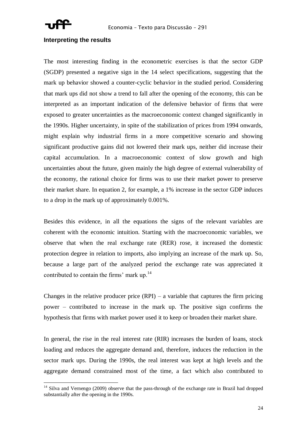

#### **Interpreting the results**

The most interesting finding in the econometric exercises is that the sector GDP (SGDP) presented a negative sign in the 14 select specifications, suggesting that the mark up behavior showed a counter-cyclic behavior in the studied period. Considering that mark ups did not show a trend to fall after the opening of the economy, this can be interpreted as an important indication of the defensive behavior of firms that were exposed to greater uncertainties as the macroeconomic context changed significantly in the 1990s. Higher uncertainty, in spite of the stabilization of prices from 1994 onwards, might explain why industrial firms in a more competitive scenario and showing significant productive gains did not lowered their mark ups, neither did increase their capital accumulation. In a macroeconomic context of slow growth and high uncertainties about the future, given mainly the high degree of external vulnerability of the economy, the rational choice for firms was to use their market power to preserve their market share. In equation 2, for example, a 1% increase in the sector GDP induces to a drop in the mark up of approximately 0.001%.

Besides this evidence, in all the equations the signs of the relevant variables are coherent with the economic intuition. Starting with the macroeconomic variables, we observe that when the real exchange rate (RER) rose, it increased the domestic protection degree in relation to imports, also implying an increase of the mark up. So, because a large part of the analyzed period the exchange rate was appreciated it contributed to contain the firms' mark up.<sup>14</sup>

Changes in the relative producer price  $(RPI)$  – a variable that captures the firm pricing power – contributed to increase in the mark up. The positive sign confirms the hypothesis that firms with market power used it to keep or broaden their market share.

In general, the rise in the real interest rate (RIR) increases the burden of loans, stock loading and reduces the aggregate demand and, therefore, induces the reduction in the sector mark ups. During the 1990s, the real interest was kept at high levels and the aggregate demand constrained most of the time, a fact which also contributed to

<sup>&</sup>lt;sup>14</sup> Silva and Vernengo (2009) observe that the pass-through of the exchange rate in Brazil had dropped substantially after the opening in the 1990s.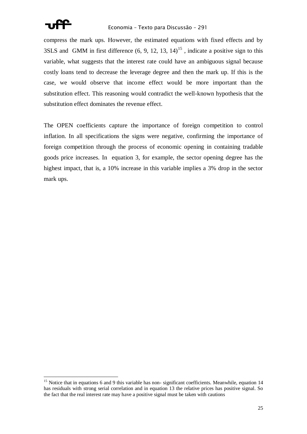

compress the mark ups. However, the estimated equations with fixed effects and by 3SLS and GMM in first difference  $(6, 9, 12, 13, 14)^{15}$ , indicate a positive sign to this variable, what suggests that the interest rate could have an ambiguous signal because costly loans tend to decrease the leverage degree and then the mark up. If this is the case, we would observe that income effect would be more important than the substitution effect. This reasoning would contradict the well-known hypothesis that the substitution effect dominates the revenue effect.

The OPEN coefficients capture the importance of foreign competition to control inflation. In all specifications the signs were negative, confirming the importance of foreign competition through the process of economic opening in containing tradable goods price increases. In equation 3, for example, the sector opening degree has the highest impact, that is, a 10% increase in this variable implies a 3% drop in the sector mark ups.

<sup>&</sup>lt;sup>15</sup> Notice that in equations 6 and 9 this variable has non-significant coefficients. Meanwhile, equation 14 has residuals with strong serial correlation and in equation 13 the relative prices has positive signal. So the fact that the real interest rate may have a positive signal must be taken with cautions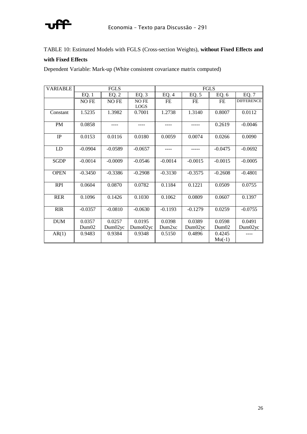

TABLE 10: Estimated Models with FGLS (Cross-section Weights), **without Fixed Effects and** 

#### **with Fixed Effects**

Dependent Variable: Mark-up (White consistent covariance matrix computed)

| <b>VARIABLE</b> |                     | <b>FGLS</b> |             | FGLS               |           |           |                   |
|-----------------|---------------------|-------------|-------------|--------------------|-----------|-----------|-------------------|
|                 | EQ. 1               | EQ. 2       | EQ. 3       | EQ. 4              | EQ.5      | EQ. 6     | EQ. 7             |
|                 | NO FE               | NO FE       | NO FE       | FE                 | FE        | FE        | <b>DIFFERENCE</b> |
|                 |                     |             | <b>LOGS</b> |                    |           |           |                   |
| Constant        | $\overline{1.5235}$ | 1.3982      | 0.7001      | 1.2738             | 1.3140    | 0.8007    | 0.0112            |
|                 |                     |             |             |                    |           |           |                   |
| PM              | 0.0858              |             |             |                    |           | 0.2619    | $-0.0046$         |
|                 |                     |             |             |                    |           |           |                   |
| IP              | 0.0153              | 0.0116      | 0.0180      | 0.0059             | 0.0074    | 0.0266    | 0.0090            |
|                 |                     |             |             |                    |           |           |                   |
| LD              | $-0.0904$           | $-0.0589$   | $-0.0657$   |                    |           | $-0.0475$ | $-0.0692$         |
|                 |                     |             |             |                    |           |           |                   |
| <b>SGDP</b>     | $-0.0014$           | $-0.0009$   | $-0.0546$   | $-0.0014$          | $-0.0015$ | $-0.0015$ | $-0.0005$         |
|                 |                     |             |             |                    |           |           |                   |
| <b>OPEN</b>     | $-0.3450$           | $-0.3386$   | $-0.2908$   | $-0.3130$          | $-0.3575$ | $-0.2608$ | $-0.4801$         |
|                 |                     |             |             |                    |           |           |                   |
| <b>RPI</b>      | 0.0604              | 0.0870      | 0.0782      | 0.1184             | 0.1221    | 0.0509    | 0.0755            |
|                 |                     |             |             |                    |           |           |                   |
| <b>RER</b>      | 0.1096              | 0.1426      | 0.1030      | 0.1062             | 0.0809    | 0.0607    | 0.1397            |
|                 |                     |             |             |                    |           |           |                   |
| <b>RIR</b>      | $-0.0357$           | $-0.0810$   | $-0.0630$   | $-0.1193$          | $-0.1279$ | 0.0259    | $-0.0755$         |
|                 |                     |             |             |                    |           |           |                   |
| <b>DUM</b>      | 0.0357              | 0.0257      | 0.0195      | 0.0398             | 0.0389    | 0.0598    | 0.0491            |
|                 | Dum02               | Dum02yc     | Dumo02yc    | Dum <sub>2xc</sub> | Dum02yc   | Dum02     | Dum02yc           |
| AR(1)           | 0.9483              | 0.9384      | 0.9348      | 0.5150             | 0.4896    | 0.4245    |                   |
|                 |                     |             |             |                    |           | $Mu(-1)$  |                   |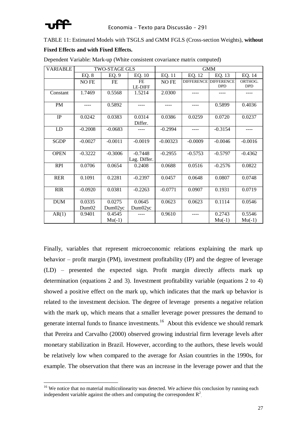

TABLE 11: Estimated Models with TSGLS and GMM FGLS (Cross-section Weights), **without**

#### **Fixed Effects and with Fixed Effects.**

| <b>VARIABLE</b> |                   | <b>TWO-STAGE GLS</b> |                |            |           | <b>GMM</b>                   |            |
|-----------------|-------------------|----------------------|----------------|------------|-----------|------------------------------|------------|
|                 | EQ. 8             | EQ. 9                | EQ. 10         | EQ. 11     | EQ. 12    | EQ. 13                       | EQ. 14     |
|                 | NO FE             | FE                   | FE             | NO FE      |           | <b>DIFFERENCE DIFFERENCE</b> | ORTHOG.    |
|                 |                   |                      | <b>LE-DIFF</b> |            |           | <b>DPD</b>                   | <b>DPD</b> |
| Constant        | 1.7469            | 0.5568               | 1.5214         | 2.0300     |           |                              |            |
| PM              |                   | 0.5892               |                | ----       | ----      | 0.5899                       | 0.4036     |
| IP              | 0.0242            | 0.0383               | 0.0314         | 0.0386     | 0.0259    | 0.0720                       | 0.0237     |
|                 |                   |                      | Differ.        |            |           |                              |            |
| LD              | $-0.2008$         | $-0.0683$            |                | $-0.2994$  |           | $-0.3154$                    |            |
|                 |                   |                      |                |            |           |                              |            |
| <b>SGDP</b>     | $-0.0027$         | $-0.0011$            | $-0.0019$      | $-0.00323$ | $-0.0009$ | $-0.0046$                    | $-0.0016$  |
| <b>OPEN</b>     | $-0.3222$         | $-0.3006$            | $-0.7448$      | $-0.2955$  | $-0.5753$ | $-0.5797$                    | $-0.4362$  |
|                 |                   |                      | Lag. Differ.   |            |           |                              |            |
| <b>RPI</b>      | 0.0706            | 0.0654               | 0.2408         | 0.0688     | 0.0516    | $-0.2576$                    | 0.0822     |
| <b>RER</b>      | 0.1091            | 0.2281               | $-0.2397$      | 0.0457     | 0.0648    | 0.0807                       | 0.0748     |
| <b>RIR</b>      | $-0.0920$         | 0.0381               | $-0.2263$      | $-0.0771$  | 0.0907    | 0.1931                       | 0.0719     |
|                 |                   |                      |                |            |           |                              |            |
| <b>DUM</b>      | 0.0335            | 0.0275               | 0.0645         | 0.0623     | 0.0623    | 0.1114                       | 0.0546     |
|                 | Dum <sub>02</sub> | Dum02yc              | Dum02yc        |            |           |                              |            |
| AR(1)           | 0.9401            | 0.4545               |                | 0.9610     |           | 0.2743                       | 0.5546     |
|                 |                   | $Mu(-1)$             |                |            |           | $Mu(-1)$                     | $Mu(-1)$   |

Dependent Variable: Mark-up (White consistent covariance matrix computed)

Finally, variables that represent microeconomic relations explaining the mark up behavior – profit margin (PM), investment profitability (IP) and the degree of leverage (LD) – presented the expected sign. Profit margin directly affects mark up determination (equations 2 and 3). Investment profitability variable (equations 2 to 4) showed a positive effect on the mark up, which indicates that the mark up behavior is related to the investment decision. The degree of leverage presents a negative relation with the mark up, which means that a smaller leverage power pressures the demand to generate internal funds to finance investments.<sup>16</sup> About this evidence we should remark that Pereira and Carvalho (2000) observed growing industrial firm leverage levels after monetary stabilization in Brazil. However, according to the authors, these levels would be relatively low when compared to the average for Asian countries in the 1990s, for example. The observation that there was an increase in the leverage power and that the

<sup>&</sup>lt;sup>16</sup> We notice that no material multicolinearity was detected. We achieve this conclusion by running each independent variable against the others and computing the correspondent  $R^2$ .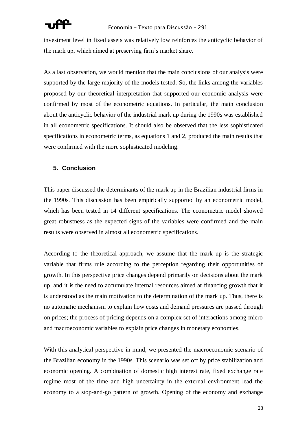investment level in fixed assets was relatively low reinforces the anticyclic behavior of the mark up, which aimed at preserving firm's market share.

As a last observation, we would mention that the main conclusions of our analysis were supported by the large majority of the models tested. So, the links among the variables proposed by our theoretical interpretation that supported our economic analysis were confirmed by most of the econometric equations. In particular, the main conclusion about the anticyclic behavior of the industrial mark up during the 1990s was established in all econometric specifications. It should also be observed that the less sophisticated specifications in econometric terms, as equations 1 and 2, produced the main results that were confirmed with the more sophisticated modeling.

### **5. Conclusion**

This paper discussed the determinants of the mark up in the Brazilian industrial firms in the 1990s. This discussion has been empirically supported by an econometric model, which has been tested in 14 different specifications. The econometric model showed great robustness as the expected signs of the variables were confirmed and the main results were observed in almost all econometric specifications.

According to the theoretical approach, we assume that the mark up is the strategic variable that firms rule according to the perception regarding their opportunities of growth. In this perspective price changes depend primarily on decisions about the mark up, and it is the need to accumulate internal resources aimed at financing growth that it is understood as the main motivation to the determination of the mark up. Thus, there is no automatic mechanism to explain how costs and demand pressures are passed through on prices; the process of pricing depends on a complex set of interactions among micro and macroeconomic variables to explain price changes in monetary economies.

With this analytical perspective in mind, we presented the macroeconomic scenario of the Brazilian economy in the 1990s. This scenario was set off by price stabilization and economic opening. A combination of domestic high interest rate, fixed exchange rate regime most of the time and high uncertainty in the external environment lead the economy to a stop-and-go pattern of growth. Opening of the economy and exchange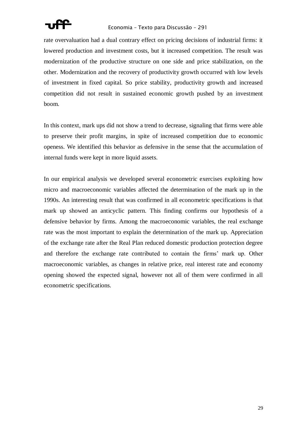

rate overvaluation had a dual contrary effect on pricing decisions of industrial firms: it lowered production and investment costs, but it increased competition. The result was modernization of the productive structure on one side and price stabilization, on the other. Modernization and the recovery of productivity growth occurred with low levels of investment in fixed capital. So price stability, productivity growth and increased competition did not result in sustained economic growth pushed by an investment boom.

In this context, mark ups did not show a trend to decrease, signaling that firms were able to preserve their profit margins, in spite of increased competition due to economic openess. We identified this behavior as defensive in the sense that the accumulation of internal funds were kept in more liquid assets.

In our empirical analysis we developed several econometric exercises exploiting how micro and macroeconomic variables affected the determination of the mark up in the 1990s. An interesting result that was confirmed in all econometric specifications is that mark up showed an anticyclic pattern. This finding confirms our hypothesis of a defensive behavior by firms. Among the macroeconomic variables, the real exchange rate was the most important to explain the determination of the mark up. Appreciation of the exchange rate after the Real Plan reduced domestic production protection degree and therefore the exchange rate contributed to contain the firms' mark up. Other macroeconomic variables, as changes in relative price, real interest rate and economy opening showed the expected signal, however not all of them were confirmed in all econometric specifications.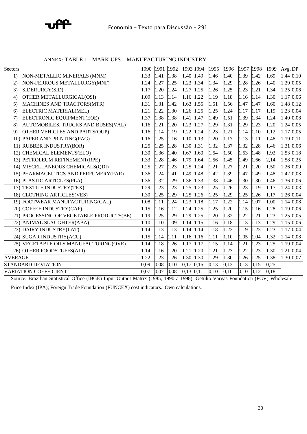

| Sectors                                                     | 1990              | 1991 | 1992 | 1993 1994     |      | 1995              | 1996              | 1997 | 1998 | 1999 | Avg. DP      |      |
|-------------------------------------------------------------|-------------------|------|------|---------------|------|-------------------|-------------------|------|------|------|--------------|------|
| NON-METALLIC MINERALS (MNM)<br>$\left( \frac{1}{2} \right)$ | 1.33              | 1.41 | 1.38 | 1.40          | 1.49 | 1.46              | 1.40              | 1.39 | 1.42 | 1.69 | 1.44 0,10    |      |
| NON-FERROUS METALLURGY(MNF)<br>(2)                          | 1.24              | 1.27 | 1.25 | 1.23          | 1.34 | 1.34              | 1.29              | 1.28 | 1.26 | 1.40 | 1.29         | 0,05 |
| SIDERURGY(SID)<br>3)                                        | 1.17              | 1.20 | 1.24 | 1.27          | 1.25 | 1.26              | 1.25              | 1.23 | 1.21 | 1.34 | 1.25         | 0,06 |
| OTHER METALLURGICAL(OSI)<br>4)                              | 1.09              | 1.13 | 1.14 | 1.16          | 1.22 | 1.19              | 1.18              | 1.16 | 1.14 | 1.30 | 1.17         | 0,06 |
| MACHINES AND TRACTORS(MTR)<br>5)                            | 1.31              | 1.31 | 1.42 | 1.63          | 1.55 | 1.51              | 1.56              | 1.47 | 1.47 | 1.60 | 1.480,12     |      |
| ELECTRIC MATERIAL(MEL)<br>6)                                | 1.21              | 1.22 | 1.30 | 1.26          | 1.25 | 1.25              | 1.24              | 1.17 | 1.17 | 1.19 | 1.23 0,04    |      |
| ELECTRONIC EQUIPMENT(EQE)<br>7)                             | 1.37              | 1.38 | 1.38 | 1.41          | 1.47 | 1.49              | 1.51              | 1.39 | 1.34 | 1.24 | 1.40 0,08    |      |
| AUTOMOBILES, TRUCKS AND BUSES(VAL)<br>8)                    | 1.16              | 1.21 | 1.20 | 1.23          | 1.27 | 1.29              | 1.31              | 1.29 | 1.23 | 1.20 | $1.24\ 0.05$ |      |
| OTHER VEHICLES AND PARTS(OUP)<br>9)                         | 1.16              | 1.14 | 1.19 | 1.22          | 1.24 | 1.23              | 1.21              | 1.14 | 1.10 | 1.12 | $1.17\,0.05$ |      |
| 10) PAPER AND PRINTING(PAG)                                 | 1.16              | 1.25 | 1.16 | 1.10          | 1.13 | 1.20              | 1.17              | 1.13 | 1.11 | 1.48 | 1.19 0,11    |      |
| 11) RUBBER INDUSTRY(BOR)                                    | $\overline{1.25}$ | 1.25 | 1.28 | 1.30          | 1.31 | 1.32              | 1.37              | 1.32 | 1.28 | 1.46 | 1.31 0,06    |      |
| 12) CHEMICAL ELEMENTS(ELQ)                                  | 1.30              | 1.36 | 1.40 | 1.67          | 1.60 | 1.54              | 1.50              | 1.53 | 1.48 | 1.93 | $1.53$ 0,18  |      |
| 13) PETROLEUM REFINEMENT(RPE)                               | 1.33              | 1.28 | 1.46 | 1.79          | 1.64 | 1.56              | 1.45              | 1.49 | 1.66 | 2,14 | 1.58 0,25    |      |
| 14) MISCELLANEOUS CHEMICALS(QDI)                            | 1.25              | 1.27 | 1.23 | 1.25          | 1.24 | 1.21              | $\overline{1.27}$ | 1.21 | 1.20 | 1.50 | 1.26 0.09    |      |
| 15) PHARMACEUTICS AND PERFUMERY(FAR)                        | 1.36              | 1.24 | 1.41 | 1.49          | 1.48 | 1.42              | 1.39              | 1.47 | 1.49 | 1.48 | 1.42         | 0,08 |
| 16) PLASTIC ARTICLES(PLA)                                   | 1.36              | 1.32 | 1.29 | 1.36          | 1.33 | 1.38              | 1.46              | 1.30 | 1.30 | 1.46 | 1.36 0,06    |      |
| 17) TEXTILE INDUSTRY(TEX)                                   | 1.29              | 1.23 | 1.23 | 1.25          | 1.23 | 1.25              | 1.26              | 1.23 | 1.19 | 1.17 | $1.24\ 0.03$ |      |
| 18) CLOTHING ARTICLES(VES)                                  | 1.30              | 1.25 | 1.29 | 1.25          | 1.26 | 1.25              | $\overline{1.29}$ | 1.25 | 1.26 | 1.17 | 1.26 0,04    |      |
| 19) FOOTWEAR MANUFACTURING(CAL)                             | 1.08              | 1.11 | 1.24 | 1.23          | 1.18 | 1.17              | 1.22              | 1.14 | 1.07 | 1.00 | 1.14 0,08    |      |
| 20) COFFEE INDUSTRY(CAF)                                    | 1.15              | 1.16 | 1.12 | 1.24          | 1.25 | 1.25              | 1.20              | 1.15 | 1.16 | 1.28 | $1.19\ 0.06$ |      |
| 21) PROCESSING OF VEGETABLE PRODUCTS(BE)                    | 1.19              | 1.25 | 1.29 | 1.29          | 1.25 | 1.20              | 1.32              | 1.22 | 1.21 | 1.23 | 1.25 0,05    |      |
| 22) ANIMAL SLAUGHTER(ABA)                                   | 1.10              | 1.10 | 1.09 | 1.14          | 1.15 | 1.16              | 1.18              | 1.13 | 1.13 | 1.29 | $1.15\,0.06$ |      |
| 23) DAIRY INDUSTRY(LAT)                                     | 1.14              | 1.13 | 1.13 | 1.14          | 1.14 | 1.18              | 1.22              | 1.19 | 1.23 | 1.23 | 1.17         | 0,04 |
| 24) SUGAR INDUSTRY(ACU)                                     | 1.15              | 1.14 | 1.11 | $1.16$ 1.16   |      | $\overline{1.1}1$ | 1.10              | 1.05 | 1.04 | 1.32 | 1.14 0.08    |      |
| 25) VEGETABLE OILS MANUFACTURING(OVE)                       | 1.14              | 1.18 | 1.26 | 1.17          | 1.17 | 1.15              | 1.14              | 1.21 | 1.23 | 1.25 | 1.19         | 0,04 |
| 26) OTHER FOODSTUFFS(ALI)                                   | 1.14              | 1.16 | 1.20 | 1.21          | 1.20 | 1.21              | $\overline{1.23}$ | 1.22 | 1.23 | 1.30 | 1.21         | 0,04 |
| <b>AVERAGE</b>                                              | 1.22              | 1.23 | 1.26 | 1.30          | 1.30 | 1.29              | 1.30              | 1.26 | 1.25 | 1.38 | 1.30 0,07    |      |
| <b>STANDARD DEVIATION</b>                                   | 0.09              | 0,08 | 0,10 | 0,17          | 0,15 | 0,13              | 0,12              | 0.13 | 0,15 | 0,25 |              |      |
| <b>VARIATION COEFFICIENT</b>                                | 0.07              | 0,07 | 0,08 | $0,13$ $0,11$ |      | 0,10              | 0,10              | 0,10 | 0,12 | 0,18 |              |      |
|                                                             |                   |      |      |               |      |                   |                   |      |      |      |              |      |

#### ANNEX: TABLE 1 - MARK UPS – MANUFACTURING INDUSTRY

Source: Brazilian Statistical Office (IBGE) Input-Output Matrix (1985, 1990 a 1998); Getúlio Vargas Foundation (FGV) Wholesale

Price Index (IPA); Foreign Trade Foundation (FUNCEX) cost indicators. Own calculations.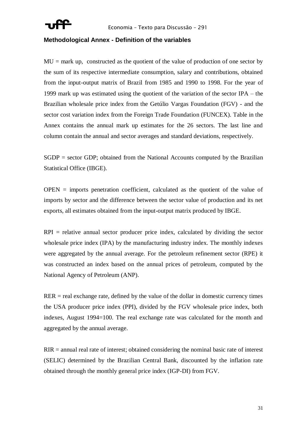

#### **Methodological Annex - Definition of the variables**

 $MU = mark up$ , constructed as the quotient of the value of production of one sector by the sum of its respective intermediate consumption, salary and contributions, obtained from the input-output matrix of Brazil from 1985 and 1990 to 1998. For the year of 1999 mark up was estimated using the quotient of the variation of the sector IPA – the Brazilian wholesale price index from the Getúlio Vargas Foundation (FGV) - and the sector cost variation index from the Foreign Trade Foundation (FUNCEX). Table in the Annex contains the annual mark up estimates for the 26 sectors. The last line and column contain the annual and sector averages and standard deviations, respectively.

SGDP = sector GDP; obtained from the National Accounts computed by the Brazilian Statistical Office (IBGE).

 $OPEN =$  imports penetration coefficient, calculated as the quotient of the value of imports by sector and the difference between the sector value of production and its net exports, all estimates obtained from the input-output matrix produced by IBGE.

 $RPI$  = relative annual sector producer price index, calculated by dividing the sector wholesale price index (IPA) by the manufacturing industry index. The monthly indexes were aggregated by the annual average. For the petroleum refinement sector (RPE) it was constructed an index based on the annual prices of petroleum, computed by the National Agency of Petroleum (ANP).

 $RER = real exchange rate, defined by the value of the dollar in domestic currency times$ the USA producer price index (PPI), divided by the FGV wholesale price index, both indexes, August 1994=100. The real exchange rate was calculated for the month and aggregated by the annual average.

RIR = annual real rate of interest; obtained considering the nominal basic rate of interest (SELIC) determined by the Brazilian Central Bank, discounted by the inflation rate obtained through the monthly general price index (IGP-DI) from FGV.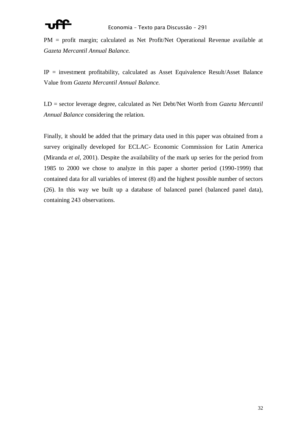PM = profit margin; calculated as Net Profit/Net Operational Revenue available at *Gazeta Mercantil Annual Balance.*

 $IP$  = investment profitability, calculated as Asset Equivalence Result/Asset Balance Value from *Gazeta Mercantil Annual Balance.*

LD = sector leverage degree, calculated as Net Debt/Net Worth from *Gazeta Mercantil Annual Balance* considering the relation.

Finally, it should be added that the primary data used in this paper was obtained from a survey originally developed for ECLAC- Economic Commission for Latin America (Miranda *et al*, 2001). Despite the availability of the mark up series for the period from 1985 to 2000 we chose to analyze in this paper a shorter period (1990-1999) that contained data for all variables of interest (8) and the highest possible number of sectors (26). In this way we built up a database of balanced panel (balanced panel data), containing 243 observations.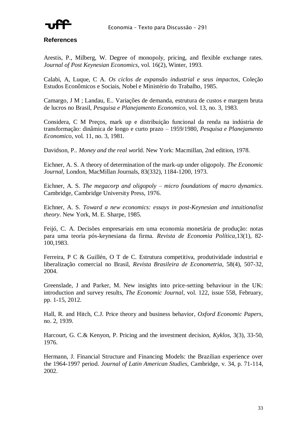

**References**

Arestis, P., Milberg, W. Degree of monopoly, pricing, and flexible exchange rates. *Journal of Post Keynesian Economics*, vol. 16(2), Winter, 1993.

Calabi, A, Luque, C A. *Os ciclos de expansão industrial e seus impactos*, Coleção Estudos Econômicos e Sociais, Nobel e Ministério do Trabalho, 1985.

Camargo, J M ; Landau, E.. Variações de demanda, estrutura de custos e margem bruta de lucros no Brasil, *Pesquisa e Planejamento Economico*, vol. 13, no. 3, 1983.

Considera, C M Preços, mark up e distribuição funcional da renda na indústria de transformação: dinâmica de longo e curto prazo – 1959/1980, *Pesquisa e Planejamento Economico*, vol. 11, no. 3, 1981.

Davidson, P.. *Money and the real wor*ld. New York: Macmillan, 2nd edition, 1978.

Eichner, A. S. A theory of determination of the mark-up under oligopoly. *The Economic Journal*, London, MacMillan Journals, 83(332), 1184-1200, 1973.

Eichner, A. S. *The megacorp and oligopoly – micro foundations of macro dynamics*. Cambridge, Cambridge University Press, 1976.

Eichner, A. S. *Toward a new economics: essays in post-Keynesian and intuitionalist theory*. New York, M. E. Sharpe, 1985.

Feijó, C. A. Decisões empresariais em uma economia monetária de produção: notas para uma teoria pós-keynesiana da firma*. Revista de Economia Política*,13(1), 82- 100,1983.

Ferreira, P C & Guillén, O T de C. Estrutura competitiva, produtividade industrial e liberalização comercial no Brasil, *Revista Brasileira de Econometria*, 58(4), 507-32, 2004.

Greenslade, J and Parker, M. New insights into price-setting behaviour in the UK: introduction and survey results, *The Economic Journal*, vol. 122, issue 558, February, pp. 1-15, 2012.

Hall, R. and Hitch, C.J. Price theory and business behavior*, Oxford Economic Papers*, no. 2, 1939.

Harcourt, G. C.& Kenyon, P. Pricing and the investment decision, *Kyklos*, 3(3), 33-50, 1976.

Hermann, J. Financial Structure and Financing Models: the Brazilian experience over the 1964-1997 period. *Journal of Latin American Studies*, Cambridge, v. 34, p. 71-114, 2002.